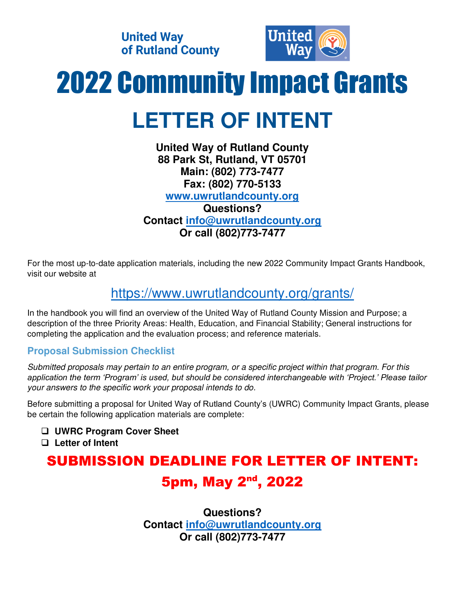**United Way** of Rutland County



# 2022 Community Impact Grants **LETTER OF INTENT**

#### **United Way of Rutland County 88 Park St, Rutland, VT 05701 Main: (802) 773-7477 Fax: (802) 770-5133 [www.uwrutlandcounty.org](http://www.uwrutlandcounty.org/) Questions? Contact [info@uwrutlandcounty.org](mailto:info@uwrutlandcounty.org) Or call (802)773-7477**

For the most up-to-date application materials, including the new 2022 Community Impact Grants Handbook, visit our website at

## <https://www.uwrutlandcounty.org/grants/>

In the handbook you will find an overview of the United Way of Rutland County Mission and Purpose; a description of the three Priority Areas: Health, Education, and Financial Stability; General instructions for completing the application and the evaluation process; and reference materials.

### **Proposal Submission Checklist**

*Submitted proposals may pertain to an entire program, or a specific project within that program. For this application the term 'Program' is used, but should be considered interchangeable with 'Project.' Please tailor your answers to the specific work your proposal intends to do.* 

Before submitting a proposal for United Way of Rutland County's (UWRC) Community Impact Grants, please be certain the following application materials are complete:

- ❑ **UWRC Program Cover Sheet**
- ❑ **Letter of Intent**

# SUBMISSION DEADLINE FOR LETTER OF INTENT: 5pm, May 2nd, 2022

**Questions? Contact [info@uwrutlandcounty.org](mailto:info@uwrutlandcounty.org) Or call (802)773-7477**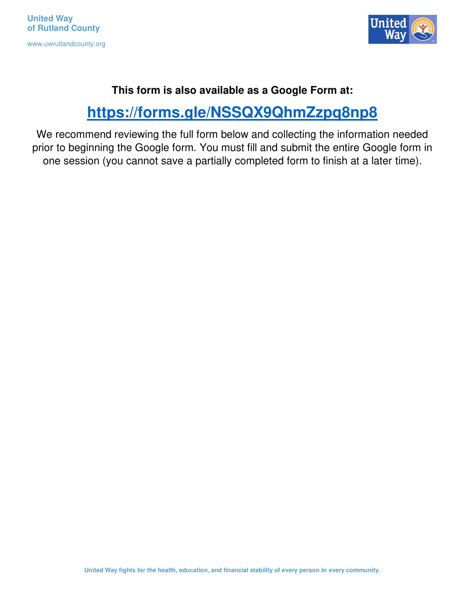

#### **This form is also available as a Google Form at:**

# **<https://forms.gle/NSSQX9QhmZzpq8np8>**

We recommend reviewing the full form below and collecting the information needed prior to beginning the Google form. You must fill and submit the entire Google form in one session (you cannot save a partially completed form to finish at a later time).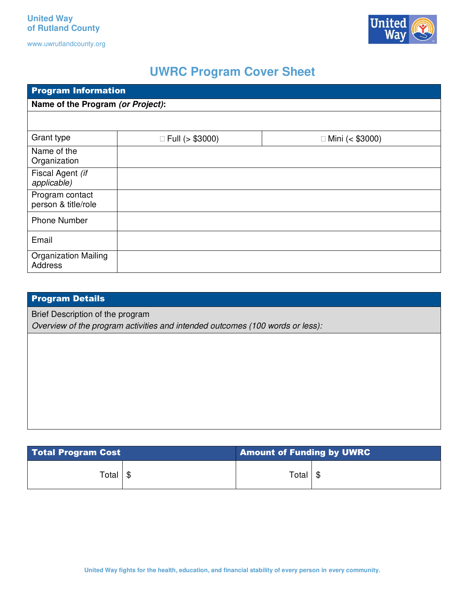Un

www.uwrutlandcounty.org

## **UWRC Program Cover Sheet**

| <b>Program Information</b>                    |                        |                     |  |  |  |  |
|-----------------------------------------------|------------------------|---------------------|--|--|--|--|
| Name of the Program (or Project):             |                        |                     |  |  |  |  |
|                                               |                        |                     |  |  |  |  |
| Grant type                                    | $\Box$ Full (> \$3000) | □ Mini (< $$3000$ ) |  |  |  |  |
| Name of the<br>Organization                   |                        |                     |  |  |  |  |
| Fiscal Agent (if<br>applicable)               |                        |                     |  |  |  |  |
| Program contact<br>person & title/role        |                        |                     |  |  |  |  |
| <b>Phone Number</b>                           |                        |                     |  |  |  |  |
| Email                                         |                        |                     |  |  |  |  |
| <b>Organization Mailing</b><br><b>Address</b> |                        |                     |  |  |  |  |

| <b>Program Details</b>                                                        |  |  |  |  |
|-------------------------------------------------------------------------------|--|--|--|--|
| Brief Description of the program                                              |  |  |  |  |
| Overview of the program activities and intended outcomes (100 words or less): |  |  |  |  |
|                                                                               |  |  |  |  |
|                                                                               |  |  |  |  |
|                                                                               |  |  |  |  |
|                                                                               |  |  |  |  |
|                                                                               |  |  |  |  |
|                                                                               |  |  |  |  |
|                                                                               |  |  |  |  |

| <b>Total Program Cost</b> |  | <b>Amount of Funding by UWRC</b> |  |
|---------------------------|--|----------------------------------|--|
| Total   \$                |  | Total                            |  |